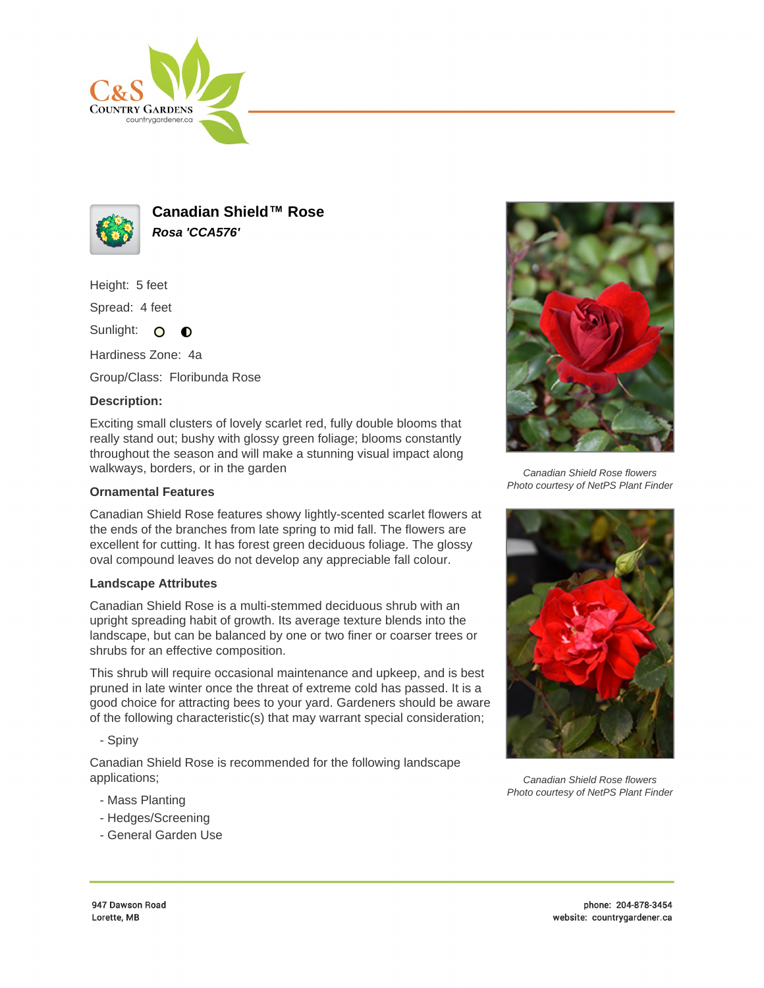



**Canadian Shield™ Rose Rosa 'CCA576'**

Height: 5 feet

Spread: 4 feet

Sunlight: O  $\bullet$ 

Hardiness Zone: 4a

Group/Class: Floribunda Rose

## **Description:**

Exciting small clusters of lovely scarlet red, fully double blooms that really stand out; bushy with glossy green foliage; blooms constantly throughout the season and will make a stunning visual impact along walkways, borders, or in the garden

## **Ornamental Features**

Canadian Shield Rose features showy lightly-scented scarlet flowers at the ends of the branches from late spring to mid fall. The flowers are excellent for cutting. It has forest green deciduous foliage. The glossy oval compound leaves do not develop any appreciable fall colour.

## **Landscape Attributes**

Canadian Shield Rose is a multi-stemmed deciduous shrub with an upright spreading habit of growth. Its average texture blends into the landscape, but can be balanced by one or two finer or coarser trees or shrubs for an effective composition.

This shrub will require occasional maintenance and upkeep, and is best pruned in late winter once the threat of extreme cold has passed. It is a good choice for attracting bees to your yard. Gardeners should be aware of the following characteristic(s) that may warrant special consideration;

- Spiny

Canadian Shield Rose is recommended for the following landscape applications;

- Mass Planting
- Hedges/Screening
- General Garden Use



Canadian Shield Rose flowers Photo courtesy of NetPS Plant Finder



Canadian Shield Rose flowers Photo courtesy of NetPS Plant Finder